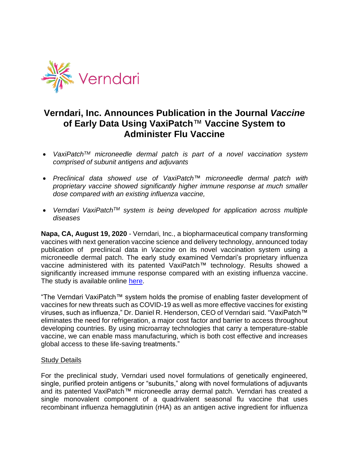

# **Verndari, Inc. Announces Publication in the Journal** *Vaccine* **of Early Data Using VaxiPatch**™ **Vaccine System to Administer Flu Vaccine**

- *VaxiPatchTM microneedle dermal patch is part of a novel vaccination system comprised of subunit antigens and adjuvants*
- *Preclinical data showed use of VaxiPatch™ microneedle dermal patch with proprietary vaccine showed significantly higher immune response at much smaller dose compared with an existing influenza vaccine,*
- *Verndari VaxiPatchTM system is being developed for application across multiple diseases*

**Napa, CA, August 19, 2020** - Verndari, Inc., a biopharmaceutical company transforming vaccines with next generation vaccine science and delivery technology, announced today publication of preclinical data in *Vaccine* on its novel vaccination system using a microneedle dermal patch. The early study examined Verndari's proprietary influenza vaccine administered with its patented VaxiPatch™ technology. Results showed a significantly increased immune response compared with an existing influenza vaccine. The study is available online [here.](https://www.sciencedirect.com/science/article/pii/S0264410X20309580)

"The Verndari VaxiPatch™ system holds the promise of enabling faster development of vaccines for new threats such as COVID-19 as well as more effective vaccines for existing viruses, such as influenza," Dr. Daniel R. Henderson, CEO of Verndari said. "VaxiPatch™ eliminates the need for refrigeration, a major cost factor and barrier to access throughout developing countries. By using microarray technologies that carry a temperature-stable vaccine, we can enable mass manufacturing, which is both cost effective and increases global access to these life-saving treatments."

#### **Study Details**

For the preclinical study, Verndari used novel formulations of genetically engineered, single, purified protein antigens or "subunits," along with novel formulations of adjuvants and its patented VaxiPatch*™* microneedle array dermal patch. Verndari has created a single monovalent component of a quadrivalent seasonal flu vaccine that uses recombinant influenza hemagglutinin (rHA) as an antigen active ingredient for influenza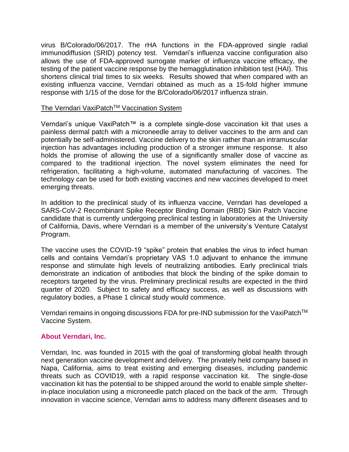virus B/Colorado/06/2017. The rHA functions in the FDA-approved single radial immunodiffusion (SRID) potency test. Verndari's influenza vaccine configuration also allows the use of FDA-approved surrogate marker of influenza vaccine efficacy, the testing of the patient vaccine response by the hemagglutination inhibition test (HAI). This shortens clinical trial times to six weeks. Results showed that when compared with an existing influenza vaccine, Verndari obtained as much as a 15-fold higher immune response with 1/15 of the dose for the B/Colorado/06/2017 influenza strain.

## The Verndari VaxiPatch™ Vaccination System

Verndari's unique VaxiPatch™ is a complete single-dose vaccination kit that uses a painless dermal patch with a microneedle array to deliver vaccines to the arm and can potentially be self-administered. Vaccine delivery to the skin rather than an intramuscular injection has advantages including production of a stronger immune response. It also holds the promise of allowing the use of a significantly smaller dose of vaccine as compared to the traditional injection. The novel system eliminates the need for refrigeration, facilitating a high-volume, automated manufacturing of vaccines. The technology can be used for both existing vaccines and new vaccines developed to meet emerging threats.

In addition to the preclinical study of its influenza vaccine, Verndari has developed a SARS-CoV-2 Recombinant Spike Receptor Binding Domain (RBD) Skin Patch Vaccine candidate that is currently undergoing preclinical testing in laboratories at the University of California, Davis, where Verndari is a member of the university's Venture Catalyst Program.

The vaccine uses the COVID-19 "spike" protein that enables the virus to infect human cells and contains Verndari's proprietary VAS 1.0 adjuvant to enhance the immune response and stimulate high levels of neutralizing antibodies. Early preclinical trials demonstrate an indication of antibodies that block the binding of the spike domain to receptors targeted by the virus. Preliminary preclinical results are expected in the third quarter of 2020. Subject to safety and efficacy success, as well as discussions with regulatory bodies, a Phase 1 clinical study would commence.

Verndari remains in ongoing discussions FDA for pre-IND submission for the VaxiPatch<sup>™</sup> Vaccine System.

# **About Verndari, Inc.**

Verndari, Inc. was founded in 2015 with the goal of transforming global health through next generation vaccine development and delivery. The privately held company based in Napa, California, aims to treat existing and emerging diseases, including pandemic threats such as COVID19, with a rapid response vaccination kit. The single-dose vaccination kit has the potential to be shipped around the world to enable simple shelterin-place inoculation using a microneedle patch placed on the back of the arm. Through innovation in vaccine science, Verndari aims to address many different diseases and to